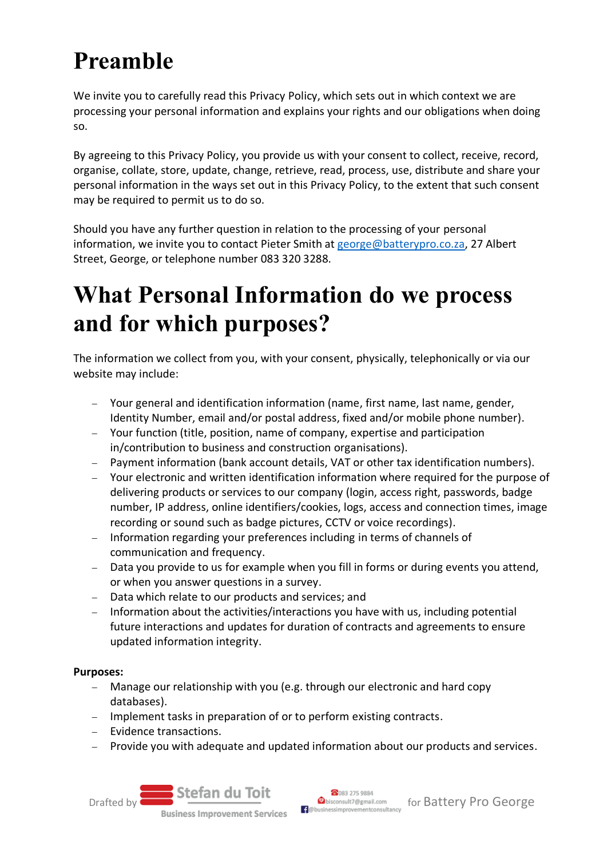# **Preamble**

We invite you to carefully read this Privacy Policy, which sets out in which context we are processing your personal information and explains your rights and our obligations when doing so.

By agreeing to this Privacy Policy, you provide us with your consent to collect, receive, record, organise, collate, store, update, change, retrieve, read, process, use, distribute and share your personal information in the ways set out in this Privacy Policy, to the extent that such consent may be required to permit us to do so.

Should you have any further question in relation to the processing of your personal information, we invite you to contact Pieter Smith at [george@batterypro.co.za,](mailto:george@batterypro.co.za) 27 Albert Street, George, or telephone number 083 320 3288.

## **What Personal Information do we process and for which purposes?**

The information we collect from you, with your consent, physically, telephonically or via our website may include:

- − Your general and identification information (name, first name, last name, gender, Identity Number, email and/or postal address, fixed and/or mobile phone number).
- − Your function (title, position, name of company, expertise and participation in/contribution to business and construction organisations).
- − Payment information (bank account details, VAT or other tax identification numbers).
- − Your electronic and written identification information where required for the purpose of delivering products or services to our company (login, access right, passwords, badge number, IP address, online identifiers/cookies, logs, access and connection times, image recording or sound such as badge pictures, CCTV or voice recordings).
- Information regarding your preferences including in terms of channels of communication and frequency.
- − Data you provide to us for example when you fill in forms or during events you attend, or when you answer questions in a survey.
- − Data which relate to our products and services; and
- − Information about the activities/interactions you have with us, including potential future interactions and updates for duration of contracts and agreements to ensure updated information integrity.

#### **Purposes:**

- − Manage our relationship with you (e.g. through our electronic and hard copy databases).
- − Implement tasks in preparation of or to perform existing contracts.
- − Evidence transactions.
- − Provide you with adequate and updated information about our products and services.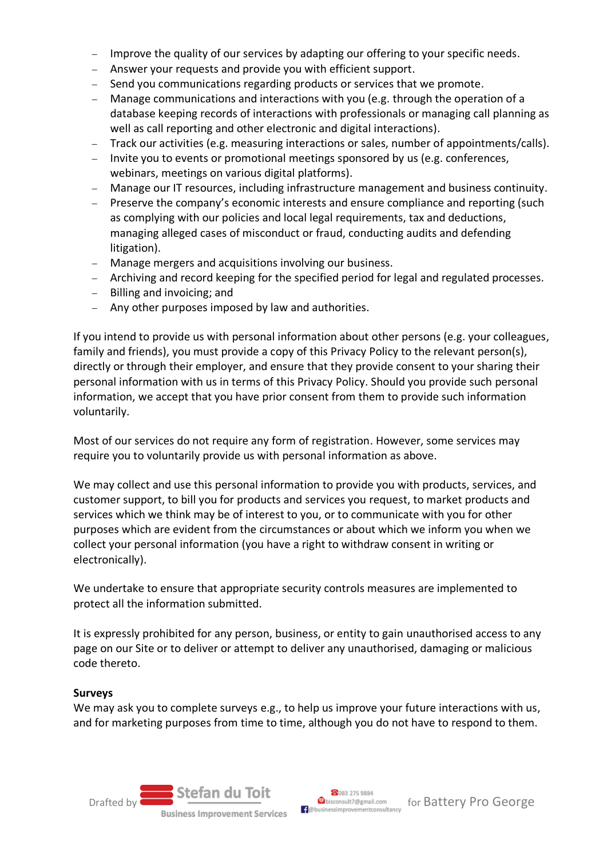- Improve the quality of our services by adapting our offering to your specific needs.
- Answer your requests and provide you with efficient support.
- − Send you communications regarding products or services that we promote.
- − Manage communications and interactions with you (e.g. through the operation of a database keeping records of interactions with professionals or managing call planning as well as call reporting and other electronic and digital interactions).
- − Track our activities (e.g. measuring interactions or sales, number of appointments/calls).
- − Invite you to events or promotional meetings sponsored by us (e.g. conferences, webinars, meetings on various digital platforms).
- − Manage our IT resources, including infrastructure management and business continuity.
- − Preserve the company's economic interests and ensure compliance and reporting (such as complying with our policies and local legal requirements, tax and deductions, managing alleged cases of misconduct or fraud, conducting audits and defending litigation).
- − Manage mergers and acquisitions involving our business.
- − Archiving and record keeping for the specified period for legal and regulated processes.
- − Billing and invoicing; and
- − Any other purposes imposed by law and authorities.

If you intend to provide us with personal information about other persons (e.g. your colleagues, family and friends), you must provide a copy of this Privacy Policy to the relevant person(s), directly or through their employer, and ensure that they provide consent to your sharing their personal information with us in terms of this Privacy Policy. Should you provide such personal information, we accept that you have prior consent from them to provide such information voluntarily.

Most of our services do not require any form of registration. However, some services may require you to voluntarily provide us with personal information as above.

We may collect and use this personal information to provide you with products, services, and customer support, to bill you for products and services you request, to market products and services which we think may be of interest to you, or to communicate with you for other purposes which are evident from the circumstances or about which we inform you when we collect your personal information (you have a right to withdraw consent in writing or electronically).

We undertake to ensure that appropriate security controls measures are implemented to protect all the information submitted.

It is expressly prohibited for any person, business, or entity to gain unauthorised access to any page on our Site or to deliver or attempt to deliver any unauthorised, damaging or malicious code thereto.

#### **Surveys**

We may ask you to complete surveys e.g., to help us improve your future interactions with us, and for marketing purposes from time to time, although you do not have to respond to them.

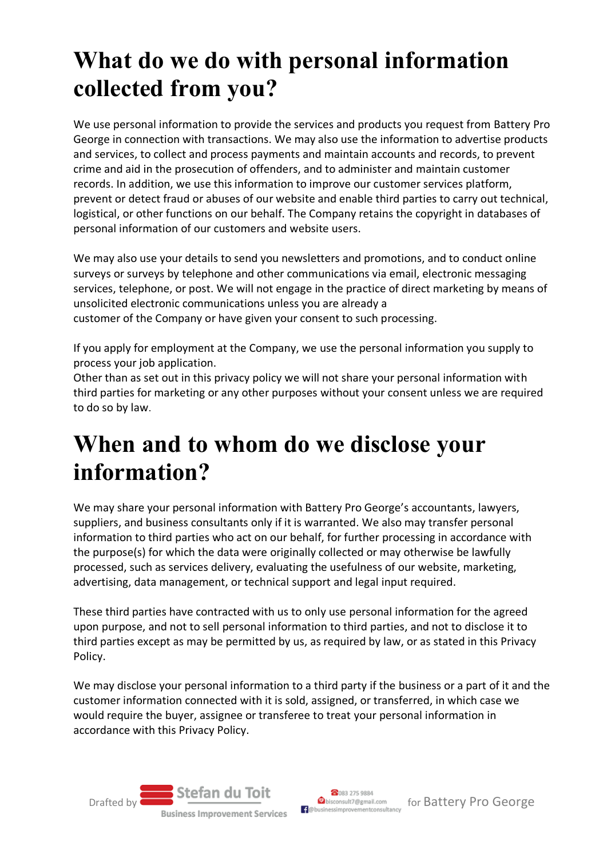## **What do we do with personal information collected from you?**

We use personal information to provide the services and products you request from Battery Pro George in connection with transactions. We may also use the information to advertise products and services, to collect and process payments and maintain accounts and records, to prevent crime and aid in the prosecution of offenders, and to administer and maintain customer records. In addition, we use this information to improve our customer services platform, prevent or detect fraud or abuses of our website and enable third parties to carry out technical, logistical, or other functions on our behalf. The Company retains the copyright in databases of personal information of our customers and website users.

We may also use your details to send you newsletters and promotions, and to conduct online surveys or surveys by telephone and other communications via email, electronic messaging services, telephone, or post. We will not engage in the practice of direct marketing by means of unsolicited electronic communications unless you are already a customer of the Company or have given your consent to such processing.

If you apply for employment at the Company, we use the personal information you supply to process your job application.

Other than as set out in this privacy policy we will not share your personal information with third parties for marketing or any other purposes without your consent unless we are required to do so by law.

### **When and to whom do we disclose your information?**

We may share your personal information with Battery Pro George's accountants, lawyers, suppliers, and business consultants only if it is warranted. We also may transfer personal information to third parties who act on our behalf, for further processing in accordance with the purpose(s) for which the data were originally collected or may otherwise be lawfully processed, such as services delivery, evaluating the usefulness of our website, marketing, advertising, data management, or technical support and legal input required.

These third parties have contracted with us to only use personal information for the agreed upon purpose, and not to sell personal information to third parties, and not to disclose it to third parties except as may be permitted by us, as required by law, or as stated in this Privacy Policy.

We may disclose your personal information to a third party if the business or a part of it and the customer information connected with it is sold, assigned, or transferred, in which case we would require the buyer, assignee or transferee to treat your personal information in accordance with this Privacy Policy.

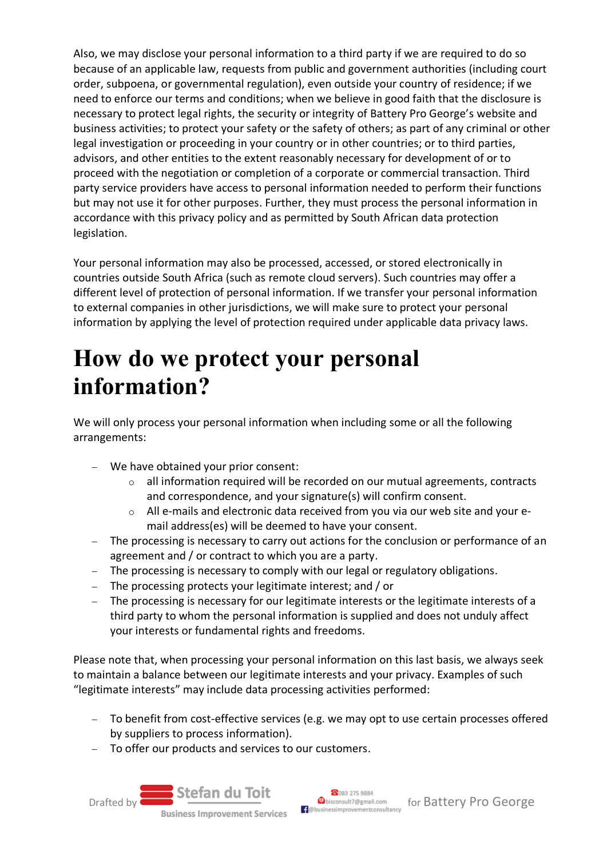Also, we may disclose your personal information to a third party if we are required to do so because of an applicable law, requests from public and government authorities (including court order, subpoena, or governmental regulation), even outside your country of residence; if we need to enforce our terms and conditions; when we believe in good faith that the disclosure is necessary to protect legal rights, the security or integrity of Battery Pro George's website and business activities; to protect your safety or the safety of others; as part of any criminal or other legal investigation or proceeding in your country or in other countries; or to third parties, advisors, and other entities to the extent reasonably necessary for development of or to proceed with the negotiation or completion of a corporate or commercial transaction. Third party service providers have access to personal information needed to perform their functions but may not use it for other purposes. Further, they must process the personal information in accordance with this privacy policy and as permitted by South African data protection legislation.

Your personal information may also be processed, accessed, or stored electronically in countries outside South Africa (such as remote cloud servers). Such countries may offer a different level of protection of personal information. If we transfer your personal information to external companies in other jurisdictions, we will make sure to protect your personal information by applying the level of protection required under applicable data privacy laws.

## **How do we protect your personal information?**

We will only process your personal information when including some or all the following arrangements:

- − We have obtained your prior consent:
	- o all information required will be recorded on our mutual agreements, contracts and correspondence, and your signature(s) will confirm consent.
	- All e-mails and electronic data received from you via our web site and your email address(es) will be deemed to have your consent.
- − The processing is necessary to carry out actions for the conclusion or performance of an agreement and / or contract to which you are a party.
- − The processing is necessary to comply with our legal or regulatory obligations.
- − The processing protects your legitimate interest; and / or
- − The processing is necessary for our legitimate interests or the legitimate interests of a third party to whom the personal information is supplied and does not unduly affect your interests or fundamental rights and freedoms.

Please note that, when processing your personal information on this last basis, we always seek to maintain a balance between our legitimate interests and your privacy. Examples of such "legitimate interests" may include data processing activities performed:

- − To benefit from cost-effective services (e.g. we may opt to use certain processes offered by suppliers to process information).
- To offer our products and services to our customers.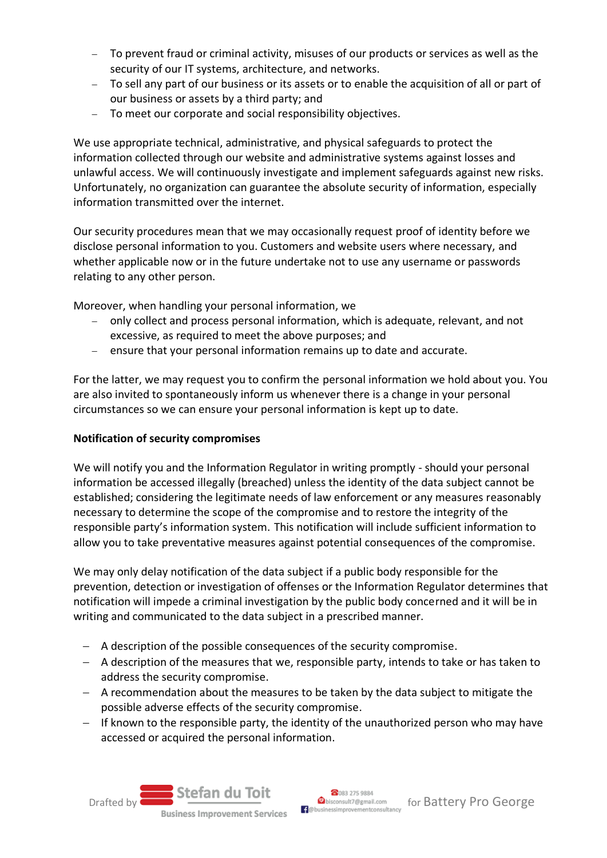- − To prevent fraud or criminal activity, misuses of our products or services as well as the security of our IT systems, architecture, and networks.
- − To sell any part of our business or its assets or to enable the acquisition of all or part of our business or assets by a third party; and
- − To meet our corporate and social responsibility objectives.

We use appropriate technical, administrative, and physical safeguards to protect the information collected through our website and administrative systems against losses and unlawful access. We will continuously investigate and implement safeguards against new risks. Unfortunately, no organization can guarantee the absolute security of information, especially information transmitted over the internet.

Our security procedures mean that we may occasionally request proof of identity before we disclose personal information to you. Customers and website users where necessary, and whether applicable now or in the future undertake not to use any username or passwords relating to any other person.

Moreover, when handling your personal information, we

- − only collect and process personal information, which is adequate, relevant, and not excessive, as required to meet the above purposes; and
- − ensure that your personal information remains up to date and accurate.

For the latter, we may request you to confirm the personal information we hold about you. You are also invited to spontaneously inform us whenever there is a change in your personal circumstances so we can ensure your personal information is kept up to date.

#### **Notification of security compromises**

We will notify you and the Information Regulator in writing promptly - should your personal information be accessed illegally (breached) unless the identity of the data subject cannot be established; considering the legitimate needs of law enforcement or any measures reasonably necessary to determine the scope of the compromise and to restore the integrity of the responsible party's information system. This notification will include sufficient information to allow you to take preventative measures against potential consequences of the compromise.

We may only delay notification of the data subject if a public body responsible for the prevention, detection or investigation of offenses or the Information Regulator determines that notification will impede a criminal investigation by the public body concerned and it will be in writing and communicated to the data subject in a prescribed manner.

- − A description of the possible consequences of the security compromise.
- − A description of the measures that we, responsible party, intends to take or has taken to address the security compromise.
- − A recommendation about the measures to be taken by the data subject to mitigate the possible adverse effects of the security compromise.
- − If known to the responsible party, the identity of the unauthorized person who may have accessed or acquired the personal information.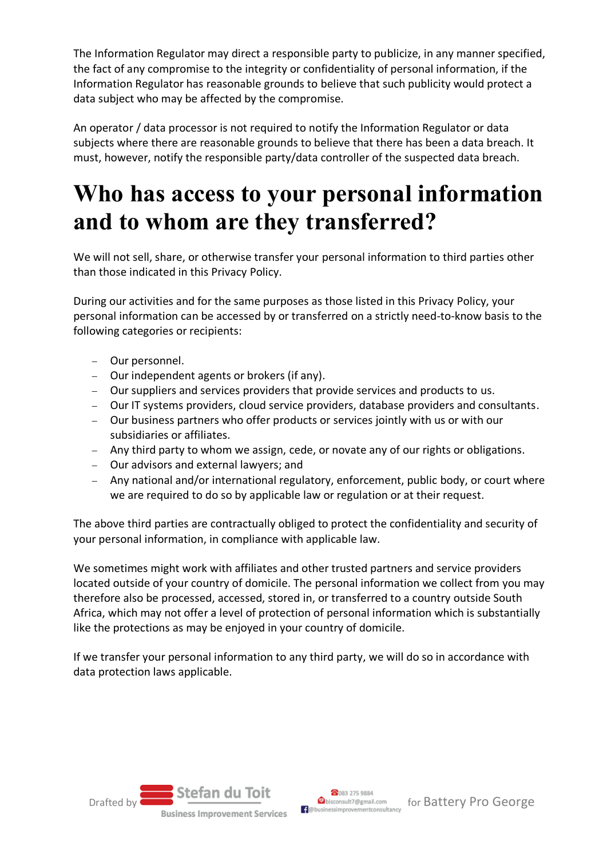The Information Regulator may direct a responsible party to publicize, in any manner specified, the fact of any compromise to the integrity or confidentiality of personal information, if the Information Regulator has reasonable grounds to believe that such publicity would protect a data subject who may be affected by the compromise.

An operator / data processor is not required to notify the Information Regulator or data subjects where there are reasonable grounds to believe that there has been a data breach. It must, however, notify the responsible party/data controller of the suspected data breach.

### **Who has access to your personal information and to whom are they transferred?**

We will not sell, share, or otherwise transfer your personal information to third parties other than those indicated in this Privacy Policy.

During our activities and for the same purposes as those listed in this Privacy Policy, your personal information can be accessed by or transferred on a strictly need-to-know basis to the following categories or recipients:

- − Our personnel.
- − Our independent agents or brokers (if any).
- − Our suppliers and services providers that provide services and products to us.
- − Our IT systems providers, cloud service providers, database providers and consultants.
- − Our business partners who offer products or services jointly with us or with our subsidiaries or affiliates.
- − Any third party to whom we assign, cede, or novate any of our rights or obligations.
- − Our advisors and external lawyers; and
- − Any national and/or international regulatory, enforcement, public body, or court where we are required to do so by applicable law or regulation or at their request.

The above third parties are contractually obliged to protect the confidentiality and security of your personal information, in compliance with applicable law.

We sometimes might work with affiliates and other trusted partners and service providers located outside of your country of domicile. The personal information we collect from you may therefore also be processed, accessed, stored in, or transferred to a country outside South Africa, which may not offer a level of protection of personal information which is substantially like the protections as may be enjoyed in your country of domicile.

If we transfer your personal information to any third party, we will do so in accordance with data protection laws applicable.

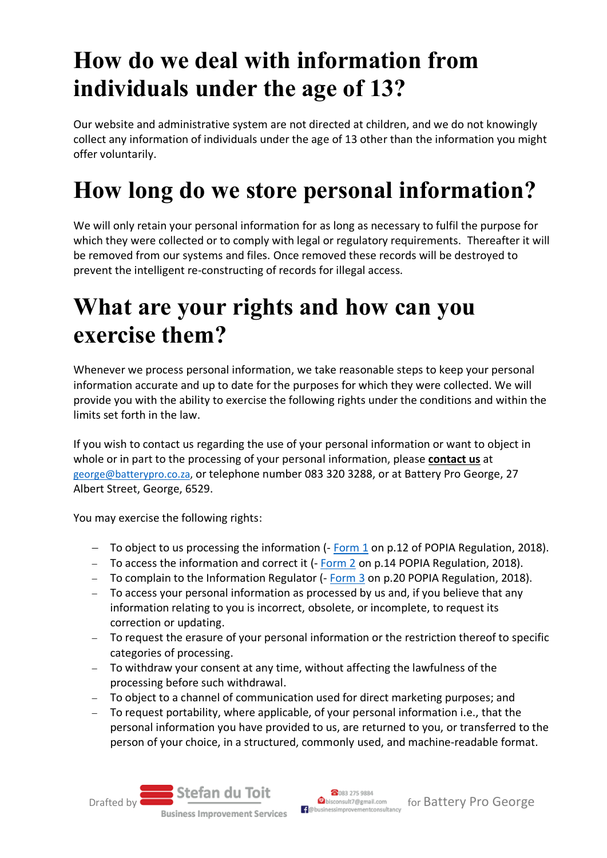## **How do we deal with information from individuals under the age of 13?**

Our website and administrative system are not directed at children, and we do not knowingly collect any information of individuals under the age of 13 other than the information you might offer voluntarily.

# **How long do we store personal information?**

We will only retain your personal information for as long as necessary to fulfil the purpose for which they were collected or to comply with legal or regulatory requirements. Thereafter it will be removed from our systems and files. Once removed these records will be destroyed to prevent the intelligent re-constructing of records for illegal access.

### **What are your rights and how can you exercise them?**

Whenever we process personal information, we take reasonable steps to keep your personal information accurate and up to date for the purposes for which they were collected. We will provide you with the ability to exercise the following rights under the conditions and within the limits set forth in the law.

If you wish to contact us regarding the use of your personal information or want to object in whole or in part to the processing of your personal information, please **contact us** at [george@batterypro.co.za,](mailto:george@batterypro.co.za) or telephone number 083 320 3288, or at Battery Pro George, 27 Albert Street, George, 6529.

You may exercise the following rights:

- − To object to us processing the information (- [Form 1](https://www.justice.gov.za/inforeg/legal/20181214-gg42110-rg10897-gon1383-POPIregister.pdf) on p.12 of POPIA Regulation, 2018).
- − To access the information and correct it (- [Form 2](https://www.justice.gov.za/inforeg/legal/20181214-gg42110-rg10897-gon1383-POPIregister.pdf) on p.14 POPIA Regulation, 2018).
- − To complain to the Information Regulator (- [Form 3](https://www.justice.gov.za/inforeg/legal/20181214-gg42110-rg10897-gon1383-POPIregister.pdf) on p.20 POPIA Regulation, 2018).
- − To access your personal information as processed by us and, if you believe that any information relating to you is incorrect, obsolete, or incomplete, to request its correction or updating.
- − To request the erasure of your personal information or the restriction thereof to specific categories of processing.
- − To withdraw your consent at any time, without affecting the lawfulness of the processing before such withdrawal.
- − To object to a channel of communication used for direct marketing purposes; and
- − To request portability, where applicable, of your personal information i.e., that the personal information you have provided to us, are returned to you, or transferred to the person of your choice, in a structured, commonly used, and machine-readable format.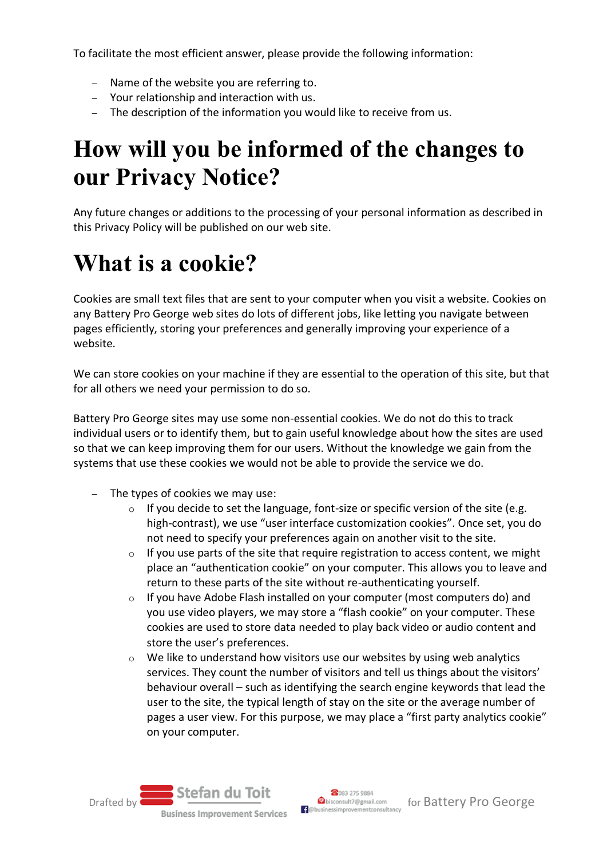To facilitate the most efficient answer, please provide the following information:

- − Name of the website you are referring to.
- − Your relationship and interaction with us.
- − The description of the information you would like to receive from us.

### **How will you be informed of the changes to our Privacy Notice?**

Any future changes or additions to the processing of your personal information as described in this Privacy Policy will be published on our web site.

## **What is a cookie?**

Cookies are small text files that are sent to your computer when you visit a website. Cookies on any Battery Pro George web sites do lots of different jobs, like letting you navigate between pages efficiently, storing your preferences and generally improving your experience of a website.

We can store cookies on your machine if they are essential to the operation of this site, but that for all others we need your permission to do so.

Battery Pro George sites may use some non-essential cookies. We do not do this to track individual users or to identify them, but to gain useful knowledge about how the sites are used so that we can keep improving them for our users. Without the knowledge we gain from the systems that use these cookies we would not be able to provide the service we do.

- − The types of cookies we may use:
	- $\circ$  If you decide to set the language, font-size or specific version of the site (e.g. high-contrast), we use "user interface customization cookies". Once set, you do not need to specify your preferences again on another visit to the site.
	- $\circ$  If you use parts of the site that require registration to access content, we might place an "authentication cookie" on your computer. This allows you to leave and return to these parts of the site without re-authenticating yourself.
	- $\circ$  If you have Adobe Flash installed on your computer (most computers do) and you use video players, we may store a "flash cookie" on your computer. These cookies are used to store data needed to play back video or audio content and store the user's preferences.
	- $\circ$  We like to understand how visitors use our websites by using web analytics services. They count the number of visitors and tell us things about the visitors' behaviour overall – such as identifying the search engine keywords that lead the user to the site, the typical length of stay on the site or the average number of pages a user view. For this purpose, we may place a "first party analytics cookie" on your computer.